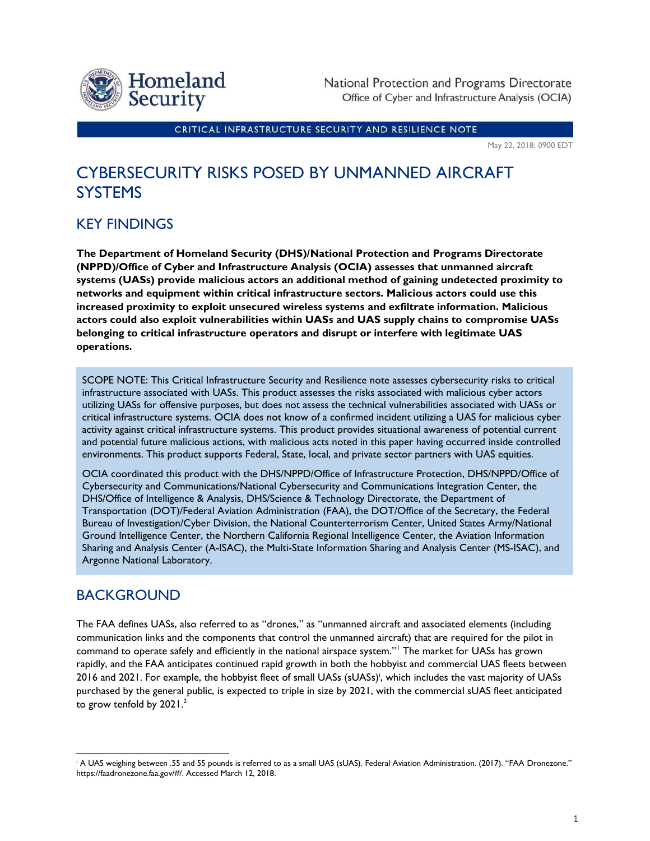

National Protection and Programs Directorate Office of Cyber and Infrastructure Analysis (OCIA)

CRITICAL INFRASTRUCTURE SECURITY AND RESILIENCE NOTE

May 22, 2018; 0900 EDT

## CYBERSECURITY RISKS POSED BY UNMANNED AIRCRAFT **SYSTEMS**

## KEY FINDINGS

**The Department of Homeland Security (DHS)/National Protection and Programs Directorate (NPPD)/Office of Cyber and Infrastructure Analysis (OCIA) assesses that unmanned aircraft systems (UASs) provide malicious actors an additional method of gaining undetected proximity to networks and equipment within critical infrastructure sectors. Malicious actors could use this increased proximity to exploit unsecured wireless systems and exfiltrate information. Malicious actors could also exploit vulnerabilities within UASs and UAS supply chains to compromise UASs belonging to critical infrastructure operators and disrupt or interfere with legitimate UAS operations.**

SCOPE NOTE: This Critical Infrastructure Security and Resilience note assesses cybersecurity risks to critical infrastructure associated with UASs. This product assesses the risks associated with malicious cyber actors utilizing UASs for offensive purposes, but does not assess the technical vulnerabilities associated with UASs or critical infrastructure systems. OCIA does not know of a confirmed incident utilizing a UAS for malicious cyber activity against critical infrastructure systems. This product provides situational awareness of potential current and potential future malicious actions, with malicious acts noted in this paper having occurred inside controlled environments. This product supports Federal, State, local, and private sector partners with UAS equities.

OCIA coordinated this product with the DHS/NPPD/Office of Infrastructure Protection, DHS/NPPD/Office of Cybersecurity and Communications/National Cybersecurity and Communications Integration Center, the DHS/Office of Intelligence & Analysis, DHS/Science & Technology Directorate, the Department of Transportation (DOT)/Federal Aviation Administration (FAA), the DOT/Office of the Secretary, the Federal Bureau of Investigation/Cyber Division, the National Counterterrorism Center, United States Army/National Ground Intelligence Center, the Northern California Regional Intelligence Center, the Aviation Information Sharing and Analysis Center (A-ISAC), the Multi-State Information Sharing and Analysis Center (MS-ISAC), and Argonne National Laboratory.

## BACKGROUND

l

The FAA defines UASs, also referred to as "drones," as "unmanned aircraft and associated elements (including communication links and the components that control the unmanned aircraft) that are required for the pilot in command to operate safely and efficiently in the national airspace system."<sup>1</sup> The market for UASs has grown rapidly, and the FAA anticipates continued rapid growth in both the hobbyist and commercial UAS fleets between 2016 and 2021. For example, the hobbyist fleet of small UASs (sUASs) i , which includes the vast majority of UASs purchased by the general public, is expected to triple in size by 2021, with the commercial sUAS fleet anticipated to grow tenfold by  $2021<sup>2</sup>$ 

<sup>&</sup>lt;sup>i</sup> A UAS weighing between .55 and 55 pounds is referred to as a small UAS (sUAS). Federal Aviation Administration. (2017). "FAA Dronezone." https://faadronezone.faa.gov/#/. Accessed March 12, 2018.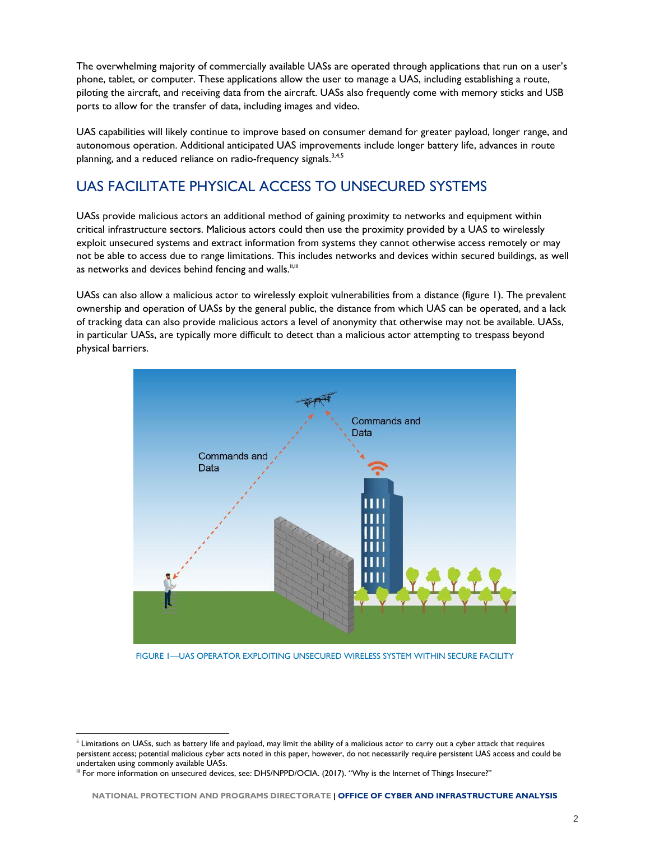The overwhelming majority of commercially available UASs are operated through applications that run on a user's phone, tablet, or computer. These applications allow the user to manage a UAS, including establishing a route, piloting the aircraft, and receiving data from the aircraft. UASs also frequently come with memory sticks and USB ports to allow for the transfer of data, including images and video.

UAS capabilities will likely continue to improve based on consumer demand for greater payload, longer range, and autonomous operation. Additional anticipated UAS improvements include longer battery life, advances in route planning, and a reduced reliance on radio-frequency signals.<sup>3,4,5</sup>

## UAS FACILITATE PHYSICAL ACCESS TO UNSECURED SYSTEMS

UASs provide malicious actors an additional method of gaining proximity to networks and equipment within critical infrastructure sectors. Malicious actors could then use the proximity provided by a UAS to wirelessly exploit unsecured systems and extract information from systems they cannot otherwise access remotely or may not be able to access due to range limitations. This includes networks and devices within secured buildings, as well as networks and devices behind fencing and walls.<sup>ii,iii</sup>

UASs can also allow a malicious actor to wirelessly exploit vulnerabilities from a distance (figure 1). The prevalent ownership and operation of UASs by the general public, the distance from which UAS can be operated, and a lack of tracking data can also provide malicious actors a level of anonymity that otherwise may not be available. UASs, in particular UASs, are typically more difficult to detect than a malicious actor attempting to trespass beyond physical barriers.



FIGURE 1—UAS OPERATOR EXPLOITING UNSECURED WIRELESS SYSTEM WITHIN SECURE FACILITY

l

ii Limitations on UASs, such as battery life and payload, may limit the ability of a malicious actor to carry out a cyber attack that requires persistent access; potential malicious cyber acts noted in this paper, however, do not necessarily require persistent UAS access and could be undertaken using commonly available UASs.

iii For more information on unsecured devices, see: DHS/NPPD/OCIA. (2017). "Why is the Internet of Things Insecure?"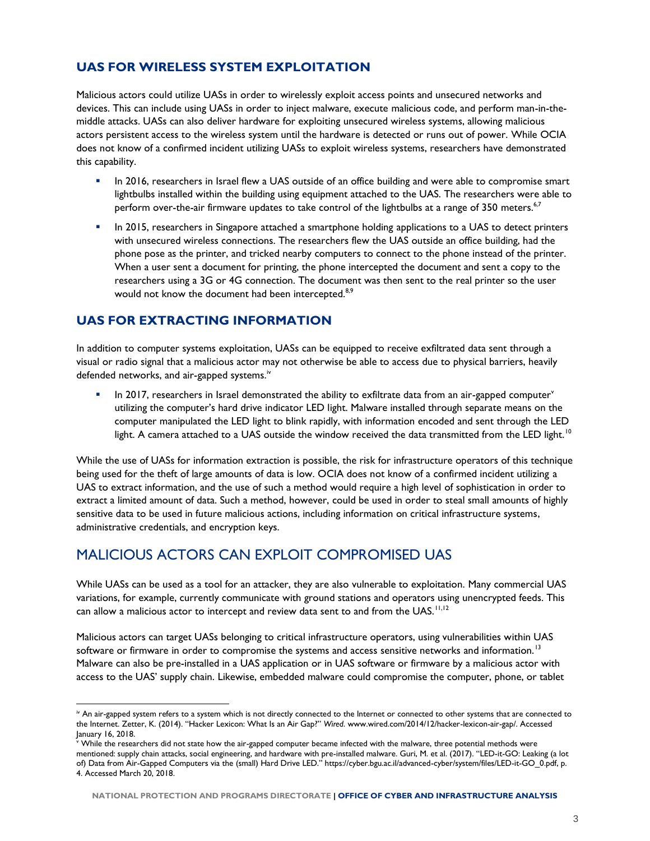#### **UAS FOR WIRELESS SYSTEM EXPLOITATION**

Malicious actors could utilize UASs in order to wirelessly exploit access points and unsecured networks and devices. This can include using UASs in order to inject malware, execute malicious code, and perform man-in-themiddle attacks. UASs can also deliver hardware for exploiting unsecured wireless systems, allowing malicious actors persistent access to the wireless system until the hardware is detected or runs out of power. While OCIA does not know of a confirmed incident utilizing UASs to exploit wireless systems, researchers have demonstrated this capability.

- **In 2016, researchers in Israel flew a UAS outside of an office building and were able to compromise smart** lightbulbs installed within the building using equipment attached to the UAS. The researchers were able to perform over-the-air firmware updates to take control of the lightbulbs at a range of 350 meters.<sup>6,7</sup>
- In 2015, researchers in Singapore attached a smartphone holding applications to a UAS to detect printers with unsecured wireless connections. The researchers flew the UAS outside an office building, had the phone pose as the printer, and tricked nearby computers to connect to the phone instead of the printer. When a user sent a document for printing, the phone intercepted the document and sent a copy to the researchers using a 3G or 4G connection. The document was then sent to the real printer so the user would not know the document had been intercepted.<sup>8,9</sup>

#### **UAS FOR EXTRACTING INFORMATION**

l

In addition to computer systems exploitation, UASs can be equipped to receive exfiltrated data sent through a visual or radio signal that a malicious actor may not otherwise be able to access due to physical barriers, heavily defended networks, and air-gapped systems.<sup>iv</sup>

In 2017, researchers in Israel demonstrated the ability to exfiltrate data from an air-gapped computer<sup>y</sup> utilizing the computer's hard drive indicator LED light. Malware installed through separate means on the computer manipulated the LED light to blink rapidly, with information encoded and sent through the LED light. A camera attached to a UAS outside the window received the data transmitted from the LED light.  $^{10}$ 

While the use of UASs for information extraction is possible, the risk for infrastructure operators of this technique being used for the theft of large amounts of data is low. OCIA does not know of a confirmed incident utilizing a UAS to extract information, and the use of such a method would require a high level of sophistication in order to extract a limited amount of data. Such a method, however, could be used in order to steal small amounts of highly sensitive data to be used in future malicious actions, including information on critical infrastructure systems, administrative credentials, and encryption keys.

## MALICIOUS ACTORS CAN EXPLOIT COMPROMISED UAS

While UASs can be used as a tool for an attacker, they are also vulnerable to exploitation. Many commercial UAS variations, for example, currently communicate with ground stations and operators using unencrypted feeds. This can allow a malicious actor to intercept and review data sent to and from the UAS.<sup>11,12</sup>

Malicious actors can target UASs belonging to critical infrastructure operators, using vulnerabilities within UAS software or firmware in order to compromise the systems and access sensitive networks and information.<sup>13</sup> Malware can also be pre-installed in a UAS application or in UAS software or firmware by a malicious actor with access to the UAS' supply chain. Likewise, embedded malware could compromise the computer, phone, or tablet

iv An air-gapped system refers to a system which is not directly connected to the Internet or connected to other systems that are connected to the Internet. Zetter, K. (2014). "Hacker Lexicon: What Is an Air Gap?" *Wired*. www.wired.com/2014/12/hacker-lexicon-air-gap/. Accessed January 16, 2018.

<sup>v</sup> While the researchers did not state how the air-gapped computer became infected with the malware, three potential methods were mentioned: supply chain attacks, social engineering, and hardware with pre-installed malware. Guri, M. et al. (2017). "LED-it-GO: Leaking (a lot of) Data from Air-Gapped Computers via the (small) Hard Drive LED." https://cyber.bgu.ac.il/advanced-cyber/system/files/LED-it-GO\_0.pdf, p. 4. Accessed March 20, 2018.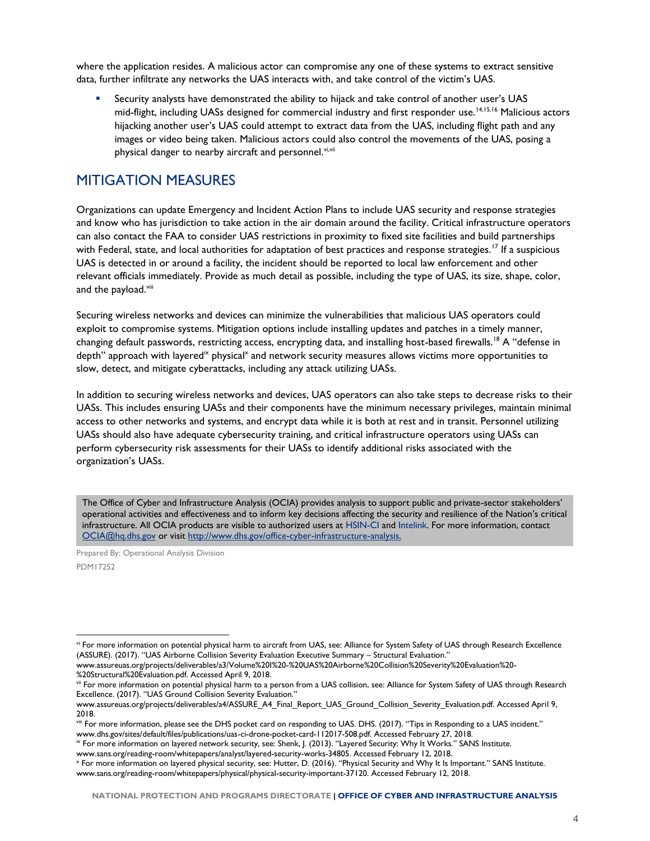where the application resides. A malicious actor can compromise any one of these systems to extract sensitive data, further infiltrate any networks the UAS interacts with, and take control of the victim's UAS.

 Security analysts have demonstrated the ability to hijack and take control of another user's UAS mid-flight, including UASs designed for commercial industry and first responder use.<sup>14,15,16</sup> Malicious actors hijacking another user's UAS could attempt to extract data from the UAS, including flight path and any images or video being taken. Malicious actors could also control the movements of the UAS, posing a physical danger to nearby aircraft and personnel. vi,vii

### MITIGATION MEASURES

Organizations can update Emergency and Incident Action Plans to include UAS security and response strategies and know who has jurisdiction to take action in the air domain around the facility. Critical infrastructure operators can also contact the FAA to consider UAS restrictions in proximity to fixed site facilities and build partnerships with Federal, state, and local authorities for adaptation of best practices and response strategies.<sup>17</sup> If a suspicious UAS is detected in or around a facility, the incident should be reported to local law enforcement and other relevant officials immediately. Provide as much detail as possible, including the type of UAS, its size, shape, color, and the payload.<sup>viii</sup>

Securing wireless networks and devices can minimize the vulnerabilities that malicious UAS operators could exploit to compromise systems. Mitigation options include installing updates and patches in a timely manner, changing default passwords, restricting access, encrypting data, and installing host-based firewalls.<sup>18</sup> A "defense in depth" approach with layered<sup>ix</sup> physical<sup>x</sup> and network security measures allows victims more opportunities to slow, detect, and mitigate cyberattacks, including any attack utilizing UASs.

In addition to securing wireless networks and devices, UAS operators can also take steps to decrease risks to their UASs. This includes ensuring UASs and their components have the minimum necessary privileges, maintain minimal access to other networks and systems, and encrypt data while it is both at rest and in transit. Personnel utilizing UASs should also have adequate cybersecurity training, and critical infrastructure operators using UASs can perform cybersecurity risk assessments for their UASs to identify additional risks associated with the organization's UASs.

The Office of Cyber and Infrastructure Analysis (OCIA) provides analysis to support public and private-sector stakeholders' operational activities and effectiveness and to inform key decisions affecting the security and resilience of the Nation's critical infrastructure. All OCIA products are visible to authorized users at HSIN-CI and Intelink. For more information, contact OCIA@hq.dhs.gov or visit http://www.dhs.gov/office-cyber-infrastructure-analysis.

Prepared By: Operational Analysis Division PDM17252

l

vi For more information on potential physical harm to aircraft from UAS, see: Alliance for System Safety of UAS through Research Excellence (ASSURE). (2017). "UAS Airborne Collision Severity Evaluation Executive Summary – Structural Evaluation."

www.assureuas.org/projects/deliverables/a3/Volume%20I%20-%20UAS%20Airborne%20Collision%20Severity%20Evaluation%20- %20Structural%20Evaluation.pdf. Accessed April 9, 2018.

vii For more information on potential physical harm to a person from a UAS collision, see: Alliance for System Safety of UAS through Research Excellence. (2017). "UAS Ground Collision Severity Evaluation."

www.assureuas.org/projects/deliverables/a4/ASSURE\_A4\_Final\_Report\_UAS\_Ground\_Collision\_Severity\_Evaluation.pdf. Accessed April 9, 2018.

viii For more information, please see the DHS pocket card on responding to UAS. DHS. (2017). "Tips in Responding to a UAS incident." www.dhs.gov/sites/default/files/publications/uas-ci-drone-pocket-card-112017-508.pdf. Accessed February 27, 2018.

ix For more information on layered network security, see: Shenk, J. (2013). "Layered Security: Why It Works." SANS Institute. www.sans.org/reading-room/whitepapers/analyst/layered-security-works-34805. Accessed February 12, 2018.

x For more information on layered physical security, see: Hutter, D. (2016). "Physical Security and Why It Is Important." SANS Institute. www.sans.org/reading-room/whitepapers/physical/physical-security-important-37120. Accessed February 12, 2018.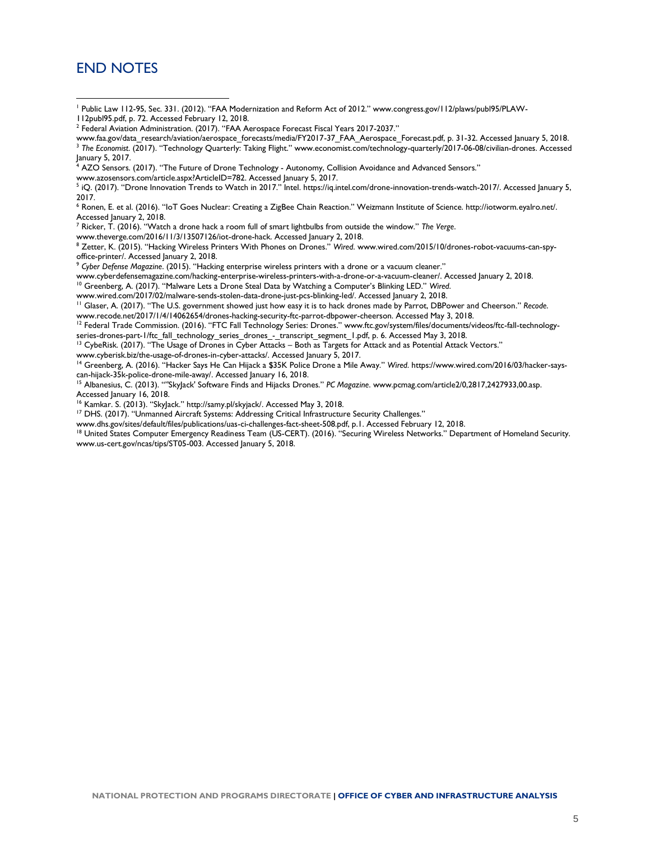#### END NOTES

l

<sup>1</sup> Public Law 112-95, Sec. 331. (2012). "FAA Modernization and Reform Act of 2012." www.congress.gov/112/plaws/publ95/PLAW-

- 112publ95.pdf, p. 72. Accessed February 12, 2018.
- <sup>2</sup> Federal Aviation Administration. (2017). "FAA Aerospace Forecast Fiscal Years 2017-2037."

www.faa.gov/data\_research/aviation/aerospace\_forecasts/media/FY2017-37\_FAA\_Aerospace\_Forecast.pdf, p. 31-32. Accessed January 5, 2018. <sup>3</sup> *The Economist*. (2017). "Technology Quarterly: Taking Flight." www.economist.com/technology-quarterly/2017-06-08/civilian-drones. Accessed January 5, 2017.

<sup>4</sup> AZO Sensors. (2017). "The Future of Drone Technology - Autonomy, Collision Avoidance and Advanced Sensors."

www.azosensors.com/article.aspx?ArticleID=782. Accessed January 5, 2017.

5 iQ. (2017). "Drone Innovation Trends to Watch in 2017." Intel. https://iq.intel.com/drone-innovation-trends-watch-2017/. Accessed January 5, 2017.

<sup>6</sup> Ronen, E. et al. (2016). "IoT Goes Nuclear: Creating a ZigBee Chain Reaction." Weizmann Institute of Science. http://iotworm.eyalro.net/. Accessed January 2, 2018.

<sup>7</sup> Ricker, T. (2016). "Watch a drone hack a room full of smart lightbulbs from outside the window." *The Verge*.

www.theverge.com/2016/11/3/13507126/iot-drone-hack. Accessed January 2, 2018.

<sup>8</sup> Zetter, K. (2015). "Hacking Wireless Printers With Phones on Drones." *Wired*. www.wired.com/2015/10/drones-robot-vacuums-can-spyoffice-printer/. Accessed January 2, 2018.

<sup>9</sup> *Cyber Defense Magazine*. (2015). "Hacking enterprise wireless printers with a drone or a vacuum cleaner."

www.cyberdefensemagazine.com/hacking-enterprise-wireless-printers-with-a-drone-or-a-vacuum-cleaner/. Accessed January 2, 2018.

<sup>10</sup> Greenberg, A. (2017). "Malware Lets a Drone Steal Data by Watching a Computer's Blinking LED." *Wired*.

www.wired.com/2017/02/malware-sends-stolen-data-drone-just-pcs-blinking-led/. Accessed January 2, 2018.

<sup>11</sup> Glaser, A. (2017). "The U.S. government showed just how easy it is to hack drones made by Parrot, DBPower and Cheerson." *Recode*. www.recode.net/2017/1/4/14062654/drones-hacking-security-ftc-parrot-dbpower-cheerson. Accessed May 3, 2018.

<sup>12</sup> Federal Trade Commission. (2016). "FTC Fall Technology Series: Drones." www.ftc.gov/system/files/documents/videos/ftc-fall-technologyseries-drones-part-1/ftc\_fall\_technology\_series\_drones\_-\_transcript\_segment\_1.pdf, p. 6. Accessed May 3, 2018.

<sup>13</sup> CybeRisk. (2017). "The Usage of Drones in Cyber Attacks – Both as Targets for Attack and as Potential Attack Vectors."

www.cyberisk.biz/the-usage-of-drones-in-cyber-attacks/. Accessed January 5, 2017.

<sup>14</sup> Greenberg, A. (2016). "Hacker Says He Can Hijack a \$35K Police Drone a Mile Away." *Wired*. https://www.wired.com/2016/03/hacker-sayscan-hijack-35k-police-drone-mile-away/. Accessed January 16, 2018.

<sup>15</sup> Albanesius, C. (2013). ""SkyJack' Software Finds and Hijacks Drones." *PC Magazine*. www.pcmag.com/article2/0,2817,2427933,00.asp. Accessed January 16, 2018.

<sup>16</sup> Kamkar. S. (2013). "SkyJack." http://samy.pl/skyjack/. Accessed May 3, 2018.

<sup>17</sup> DHS. (2017). "Unmanned Aircraft Systems: Addressing Critical Infrastructure Security Challenges."

www.dhs.gov/sites/default/files/publications/uas-ci-challenges-fact-sheet-508.pdf, p.1. Accessed February 12, 2018.

18 United States Computer Emergency Readiness Team (US-CERT). (2016). "Securing Wireless Networks." Department of Homeland Security. www.us-cert.gov/ncas/tips/ST05-003. Accessed January 5, 2018.